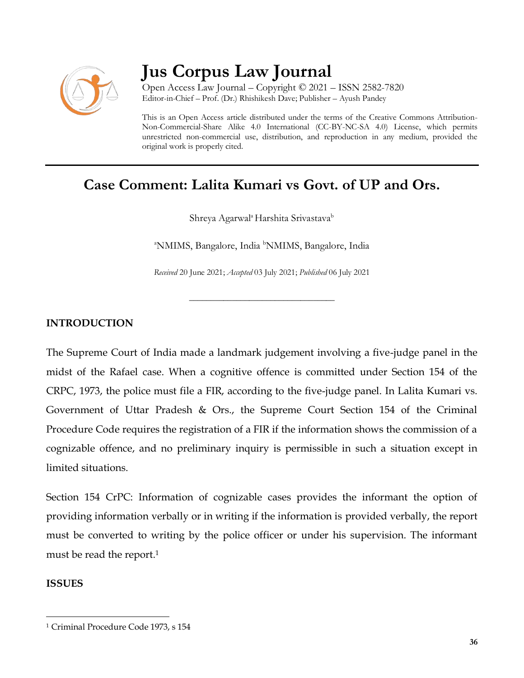

# **Jus Corpus Law Journal**

Open Access Law Journal – Copyright © 2021 – ISSN 2582-7820 Editor-in-Chief – Prof. (Dr.) Rhishikesh Dave; Publisher – Ayush Pandey

This is an Open Access article distributed under the terms of the Creative Commons Attribution-Non-Commercial-Share Alike 4.0 International (CC-BY-NC-SA 4.0) License, which permits unrestricted non-commercial use, distribution, and reproduction in any medium, provided the original work is properly cited.

# **Case Comment: Lalita Kumari vs Govt. of UP and Ors.**

Shreya Agarwal<sup>a</sup> Harshita Srivastava<sup>b</sup>

<sup>a</sup>NMIMS, Bangalore, India <sup>b</sup>NMIMS, Bangalore, India

*Received* 20 June 2021; *Accepted* 03 July 2021; *Published* 06 July 2021

\_\_\_\_\_\_\_\_\_\_\_\_\_\_\_\_\_\_\_\_\_\_\_\_\_\_\_\_\_\_\_\_\_\_

# **INTRODUCTION**

The Supreme Court of India made a landmark judgement involving a five-judge panel in the midst of the Rafael case. When a cognitive offence is committed under Section 154 of the CRPC, 1973, the police must file a FIR, according to the five-judge panel. In Lalita Kumari vs. Government of Uttar Pradesh & Ors., the Supreme Court Section 154 of the Criminal Procedure Code requires the registration of a FIR if the information shows the commission of a cognizable offence, and no preliminary inquiry is permissible in such a situation except in limited situations.

Section 154 CrPC: Information of cognizable cases provides the informant the option of providing information verbally or in writing if the information is provided verbally, the report must be converted to writing by the police officer or under his supervision. The informant must be read the report.<sup>1</sup>

## **ISSUES**

 $\overline{\phantom{a}}$ 

<sup>1</sup> Criminal Procedure Code 1973, s 154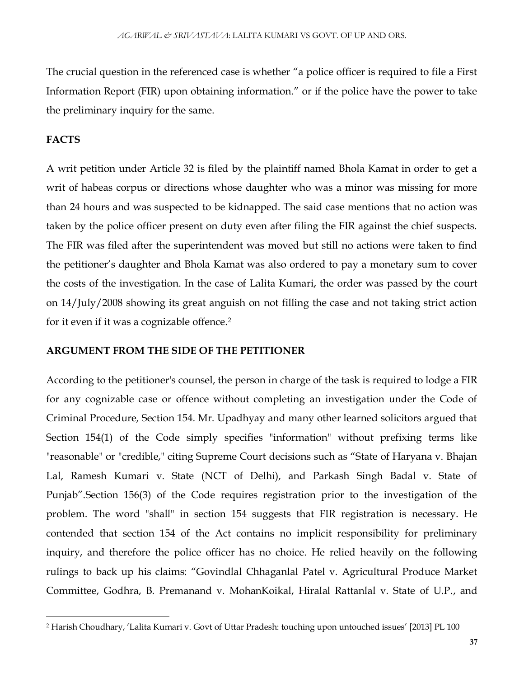The crucial question in the referenced case is whether "a police officer is required to file a First Information Report (FIR) upon obtaining information." or if the police have the power to take the preliminary inquiry for the same.

## **FACTS**

 $\overline{\phantom{a}}$ 

A writ petition under Article 32 is filed by the plaintiff named Bhola Kamat in order to get a writ of habeas corpus or directions whose daughter who was a minor was missing for more than 24 hours and was suspected to be kidnapped. The said case mentions that no action was taken by the police officer present on duty even after filing the FIR against the chief suspects. The FIR was filed after the superintendent was moved but still no actions were taken to find the petitioner's daughter and Bhola Kamat was also ordered to pay a monetary sum to cover the costs of the investigation. In the case of Lalita Kumari, the order was passed by the court on 14/July/2008 showing its great anguish on not filling the case and not taking strict action for it even if it was a cognizable offence.<sup>2</sup>

#### **ARGUMENT FROM THE SIDE OF THE PETITIONER**

According to the petitioner's counsel, the person in charge of the task is required to lodge a FIR for any cognizable case or offence without completing an investigation under the Code of Criminal Procedure, Section 154. Mr. Upadhyay and many other learned solicitors argued that Section 154(1) of the Code simply specifies "information" without prefixing terms like "reasonable" or "credible," citing Supreme Court decisions such as "State of Haryana v. Bhajan Lal, Ramesh Kumari v. State (NCT of Delhi), and Parkash Singh Badal v. State of Punjab".Section 156(3) of the Code requires registration prior to the investigation of the problem. The word "shall" in section 154 suggests that FIR registration is necessary. He contended that section 154 of the Act contains no implicit responsibility for preliminary inquiry, and therefore the police officer has no choice. He relied heavily on the following rulings to back up his claims: "Govindlal Chhaganlal Patel v. Agricultural Produce Market Committee, Godhra, B. Premanand v. MohanKoikal, Hiralal Rattanlal v. State of U.P., and

<sup>2</sup> Harish Choudhary, 'Lalita Kumari v. Govt of Uttar Pradesh: touching upon untouched issues' [2013] PL 100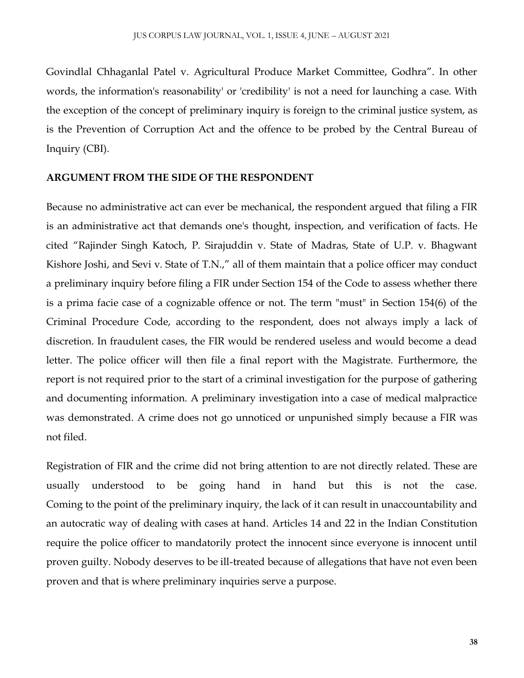Govindlal Chhaganlal Patel v. Agricultural Produce Market Committee, Godhra". In other words, the information's reasonability' or 'credibility' is not a need for launching a case. With the exception of the concept of preliminary inquiry is foreign to the criminal justice system, as is the Prevention of Corruption Act and the offence to be probed by the Central Bureau of Inquiry (CBI).

#### **ARGUMENT FROM THE SIDE OF THE RESPONDENT**

Because no administrative act can ever be mechanical, the respondent argued that filing a FIR is an administrative act that demands one's thought, inspection, and verification of facts. He cited "Rajinder Singh Katoch, P. Sirajuddin v. State of Madras, State of U.P. v. Bhagwant Kishore Joshi, and Sevi v. State of T.N.," all of them maintain that a police officer may conduct a preliminary inquiry before filing a FIR under Section 154 of the Code to assess whether there is a prima facie case of a cognizable offence or not. The term "must" in Section 154(6) of the Criminal Procedure Code, according to the respondent, does not always imply a lack of discretion. In fraudulent cases, the FIR would be rendered useless and would become a dead letter. The police officer will then file a final report with the Magistrate. Furthermore, the report is not required prior to the start of a criminal investigation for the purpose of gathering and documenting information. A preliminary investigation into a case of medical malpractice was demonstrated. A crime does not go unnoticed or unpunished simply because a FIR was not filed.

Registration of FIR and the crime did not bring attention to are not directly related. These are usually understood to be going hand in hand but this is not the case. Coming to the point of the preliminary inquiry, the lack of it can result in unaccountability and an autocratic way of dealing with cases at hand. Articles 14 and 22 in the Indian Constitution require the police officer to mandatorily protect the innocent since everyone is innocent until proven guilty. Nobody deserves to be ill-treated because of allegations that have not even been proven and that is where preliminary inquiries serve a purpose.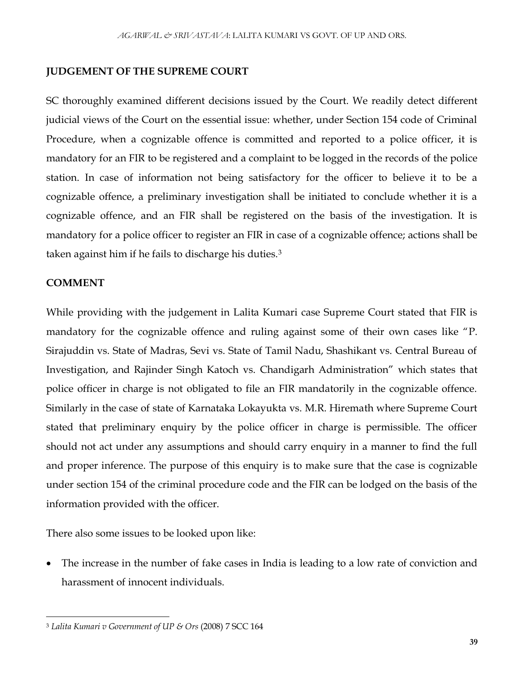#### **JUDGEMENT OF THE SUPREME COURT**

SC thoroughly examined different decisions issued by the Court. We readily detect different judicial views of the Court on the essential issue: whether, under Section 154 code of Criminal Procedure, when a cognizable offence is committed and reported to a police officer, it is mandatory for an FIR to be registered and a complaint to be logged in the records of the police station. In case of information not being satisfactory for the officer to believe it to be a cognizable offence, a preliminary investigation shall be initiated to conclude whether it is a cognizable offence, and an FIR shall be registered on the basis of the investigation. It is mandatory for a police officer to register an FIR in case of a cognizable offence; actions shall be taken against him if he fails to discharge his duties.<sup>3</sup>

#### **COMMENT**

While providing with the judgement in Lalita Kumari case Supreme Court stated that FIR is mandatory for the cognizable offence and ruling against some of their own cases like "P. Sirajuddin vs. State of Madras, Sevi vs. State of Tamil Nadu, Shashikant vs. Central Bureau of Investigation, and Rajinder Singh Katoch vs. Chandigarh Administration" which states that police officer in charge is not obligated to file an FIR mandatorily in the cognizable offence. Similarly in the case of state of Karnataka Lokayukta vs. M.R. Hiremath where Supreme Court stated that preliminary enquiry by the police officer in charge is permissible. The officer should not act under any assumptions and should carry enquiry in a manner to find the full and proper inference. The purpose of this enquiry is to make sure that the case is cognizable under section 154 of the criminal procedure code and the FIR can be lodged on the basis of the information provided with the officer.

There also some issues to be looked upon like:

 The increase in the number of fake cases in India is leading to a low rate of conviction and harassment of innocent individuals.

 $\overline{\phantom{a}}$ <sup>3</sup> *Lalita Kumari v Government of UP & Ors* (2008) 7 SCC 164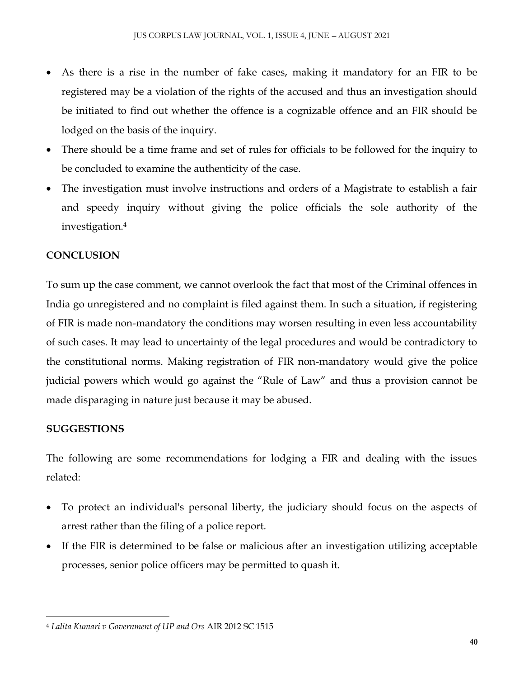- As there is a rise in the number of fake cases, making it mandatory for an FIR to be registered may be a violation of the rights of the accused and thus an investigation should be initiated to find out whether the offence is a cognizable offence and an FIR should be lodged on the basis of the inquiry.
- There should be a time frame and set of rules for officials to be followed for the inquiry to be concluded to examine the authenticity of the case.
- The investigation must involve instructions and orders of a Magistrate to establish a fair and speedy inquiry without giving the police officials the sole authority of the investigation.<sup>4</sup>

# **CONCLUSION**

To sum up the case comment, we cannot overlook the fact that most of the Criminal offences in India go unregistered and no complaint is filed against them. In such a situation, if registering of FIR is made non-mandatory the conditions may worsen resulting in even less accountability of such cases. It may lead to uncertainty of the legal procedures and would be contradictory to the constitutional norms. Making registration of FIR non-mandatory would give the police judicial powers which would go against the "Rule of Law" and thus a provision cannot be made disparaging in nature just because it may be abused.

# **SUGGESTIONS**

The following are some recommendations for lodging a FIR and dealing with the issues related:

- To protect an individual's personal liberty, the judiciary should focus on the aspects of arrest rather than the filing of a police report.
- If the FIR is determined to be false or malicious after an investigation utilizing acceptable processes, senior police officers may be permitted to quash it.

 $\overline{\phantom{a}}$ <sup>4</sup> *Lalita Kumari v Government of UP and Ors* AIR 2012 SC 1515